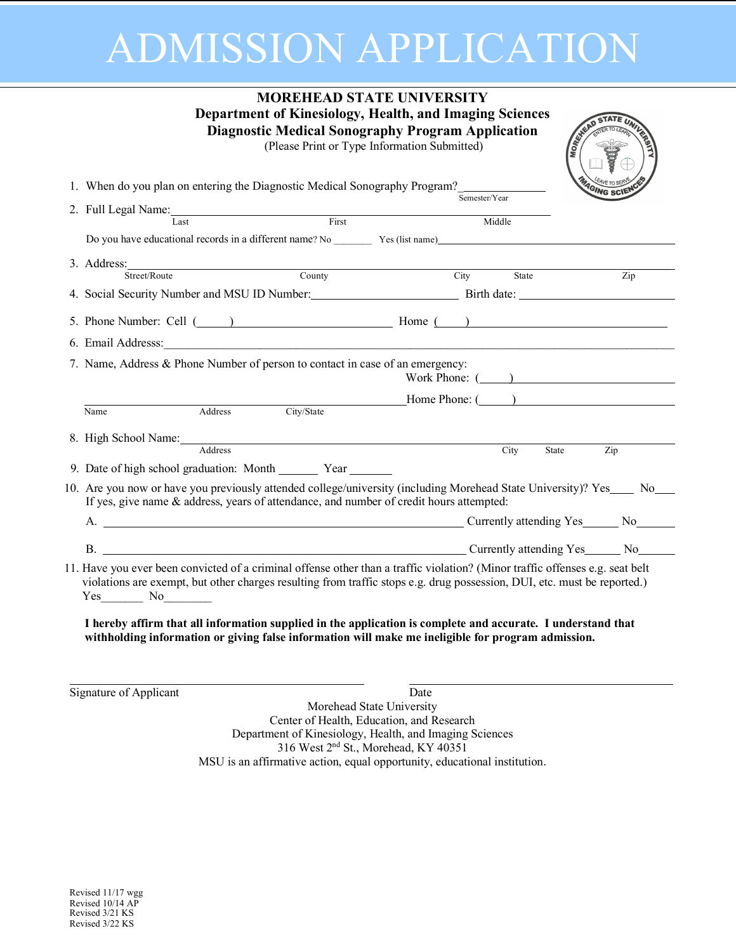# ADMISSION APPLICATION

|                                                                                                                                                                                                                                                                                                                                                                                                                                                                                                      | <b>MOREHEAD STATE UNIVERSITY</b><br>Department of Kinesiology, Health, and Imaging Sciences<br><b>Diagnostic Medical Sonography Program Application</b> | (Please Print or Type Information Submitted) |               | <b>MORE</b> STRAD          |
|------------------------------------------------------------------------------------------------------------------------------------------------------------------------------------------------------------------------------------------------------------------------------------------------------------------------------------------------------------------------------------------------------------------------------------------------------------------------------------------------------|---------------------------------------------------------------------------------------------------------------------------------------------------------|----------------------------------------------|---------------|----------------------------|
| 1. When do you plan on entering the Diagnostic Medical Sonography Program?                                                                                                                                                                                                                                                                                                                                                                                                                           |                                                                                                                                                         |                                              |               | <sup>q</sup> GING SC       |
| 2. Full Legal Name:                                                                                                                                                                                                                                                                                                                                                                                                                                                                                  |                                                                                                                                                         |                                              | Semester/Year |                            |
|                                                                                                                                                                                                                                                                                                                                                                                                                                                                                                      |                                                                                                                                                         |                                              | Middle        |                            |
| Do you have educational records in a different name? No Yes (list name)                                                                                                                                                                                                                                                                                                                                                                                                                              |                                                                                                                                                         |                                              |               |                            |
| 3. Address: Street/Route County                                                                                                                                                                                                                                                                                                                                                                                                                                                                      |                                                                                                                                                         |                                              | City State    | Zip                        |
| 4. Social Security Number and MSU ID Number: Birth date: ________________________                                                                                                                                                                                                                                                                                                                                                                                                                    |                                                                                                                                                         |                                              |               |                            |
|                                                                                                                                                                                                                                                                                                                                                                                                                                                                                                      |                                                                                                                                                         |                                              |               |                            |
| 5. Phone Number: Cell (120) Home (200)                                                                                                                                                                                                                                                                                                                                                                                                                                                               |                                                                                                                                                         |                                              |               |                            |
| 6. Email Addresss: <u>and a substitute of the set of the set of the set of the set of the set of the set of the set of the set of the set of the set of the set of the set of the set of the set of the set of the set of the se</u>                                                                                                                                                                                                                                                                 |                                                                                                                                                         |                                              |               |                            |
| 7. Name, Address & Phone Number of person to contact in case of an emergency:                                                                                                                                                                                                                                                                                                                                                                                                                        |                                                                                                                                                         |                                              |               | Work Phone: $($            |
| Address<br>Name                                                                                                                                                                                                                                                                                                                                                                                                                                                                                      |                                                                                                                                                         |                                              |               | City/State Mome Phone: ( ) |
|                                                                                                                                                                                                                                                                                                                                                                                                                                                                                                      |                                                                                                                                                         |                                              |               |                            |
| 8. High School Name:<br>Address                                                                                                                                                                                                                                                                                                                                                                                                                                                                      |                                                                                                                                                         |                                              | City          | State<br>Zip               |
| 9. Date of high school graduation: Month ________ Year _______                                                                                                                                                                                                                                                                                                                                                                                                                                       |                                                                                                                                                         |                                              |               |                            |
| 10. Are you now or have you previously attended college/university (including Morehead State University)? Yes No<br>If yes, give name & address, years of attendance, and number of credit hours attempted:                                                                                                                                                                                                                                                                                          |                                                                                                                                                         |                                              |               |                            |
|                                                                                                                                                                                                                                                                                                                                                                                                                                                                                                      |                                                                                                                                                         |                                              |               |                            |
| B. Currently attending Yes No No No.                                                                                                                                                                                                                                                                                                                                                                                                                                                                 |                                                                                                                                                         |                                              |               |                            |
| 11. Have you ever been convicted of a criminal offense other than a traffic violation? (Minor traffic offenses e.g. seat belt<br>violations are exempt, but other charges resulting from traffic stops e.g. drug possession, DUI, etc. must be reported.)<br>$Yes$ No $\qquad$<br>I hereby affirm that all information supplied in the application is complete and accurate. I understand that<br>withholding information or giving false information will make me ineligible for program admission. |                                                                                                                                                         |                                              |               |                            |
| Signature of Applicant                                                                                                                                                                                                                                                                                                                                                                                                                                                                               |                                                                                                                                                         | Date                                         |               |                            |

Morehead State University Center of Health, Education, and Research Department of Kinesiology, Health, and Imaging Sciences 316 West 2nd St., Morehead, KY 40351 MSU is an affirmative action, equal opportunity, educational institution.